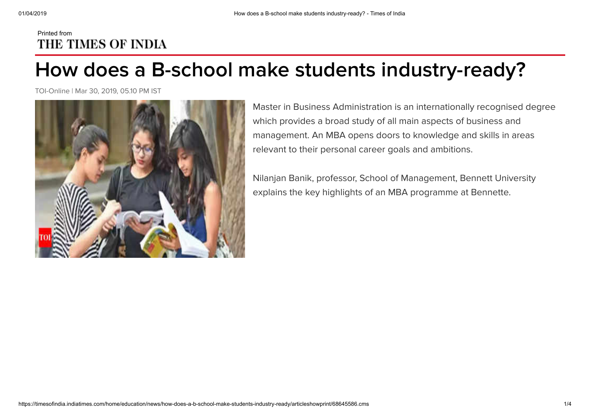## Printed from THE TIMES OF INDIA

## **How does a B-school make students industry-ready?**

TOI-Online | Mar 30, 2019, 05.10 PM IST



Master in Business Administration is an internationally recognised degree which provides a broad study of all main aspects of business and management. An MBA opens doors to knowledge and skills in areas relevant to their personal career goals and ambitions.

Nilanjan Banik, professor, School of Management, Bennett University explains the key highlights of an MBA programme at Bennette.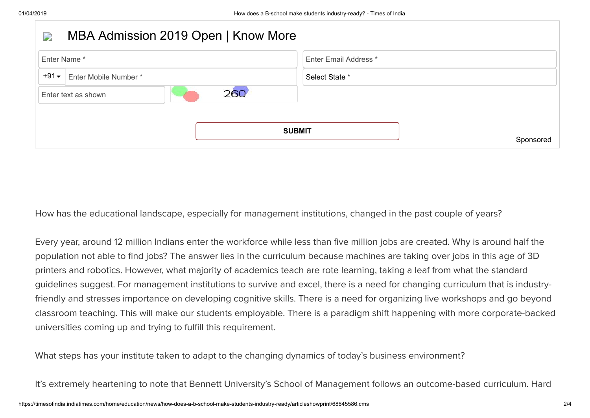| $\overline{\phantom{a}}$   | MBA Admission 2019 Open   Know More |                       |
|----------------------------|-------------------------------------|-----------------------|
| Enter Name*                |                                     | Enter Email Address * |
| $+91$                      | Enter Mobile Number*                | Select State *        |
| 260<br>Enter text as shown |                                     |                       |
|                            |                                     |                       |
| <b>SUBMIT</b><br>Sponsored |                                     |                       |

How has the educational landscape, especially for management institutions, changed in the past couple of years?

Every year, around 12 million Indians enter the workforce while less than five million jobs are created. Why is around half the population not able to find jobs? The answer lies in the curriculum because machines are taking over jobs in this age of 3D printers and robotics. However, what majority of academics teach are rote learning, taking a leaf from what the standard guidelines suggest. For management institutions to survive and excel, there is a need for changing curriculum that is industryfriendly and stresses importance on developing cognitive skills. There is a need for organizing live workshops and go beyond classroom teaching. This will make our students employable. There is a paradigm shift happening with more corporate-backed universities coming up and trying to fulfill this requirement.

What steps has your institute taken to adapt to the changing dynamics of today's business environment?

It's extremely heartening to note that Bennett University's School of Management follows an outcome-based curriculum. Hard